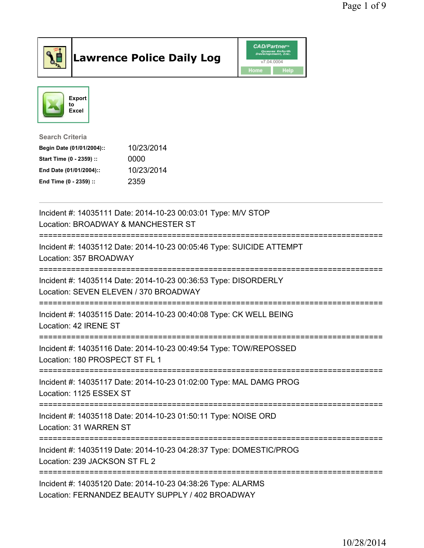

## Lawrence Police Daily Log **Daniel CAD/Partner**





Search Criteria Begin Date (01/01/2004):: 10/23/2014 Start Time (0 - 2359) :: 0000 End Date (01/01/2004):: 10/23/2014 End Time (0 - 2359) :: 2359

| Incident #: 14035111 Date: 2014-10-23 00:03:01 Type: M/V STOP<br>Location: BROADWAY & MANCHESTER ST<br>:==============================      |
|---------------------------------------------------------------------------------------------------------------------------------------------|
| Incident #: 14035112 Date: 2014-10-23 00:05:46 Type: SUICIDE ATTEMPT<br>Location: 357 BROADWAY                                              |
| Incident #: 14035114 Date: 2014-10-23 00:36:53 Type: DISORDERLY<br>Location: SEVEN ELEVEN / 370 BROADWAY                                    |
| Incident #: 14035115 Date: 2014-10-23 00:40:08 Type: CK WELL BEING<br>Location: 42 IRENE ST                                                 |
| Incident #: 14035116 Date: 2014-10-23 00:49:54 Type: TOW/REPOSSED<br>Location: 180 PROSPECT ST FL 1<br>------------------------------------ |
| Incident #: 14035117 Date: 2014-10-23 01:02:00 Type: MAL DAMG PROG<br>Location: 1125 ESSEX ST                                               |
| Incident #: 14035118 Date: 2014-10-23 01:50:11 Type: NOISE ORD<br>Location: 31 WARREN ST                                                    |
| Incident #: 14035119 Date: 2014-10-23 04:28:37 Type: DOMESTIC/PROG<br>Location: 239 JACKSON ST FL 2                                         |
| Incident #: 14035120 Date: 2014-10-23 04:38:26 Type: ALARMS<br>Location: FERNANDEZ BEAUTY SUPPLY / 402 BROADWAY                             |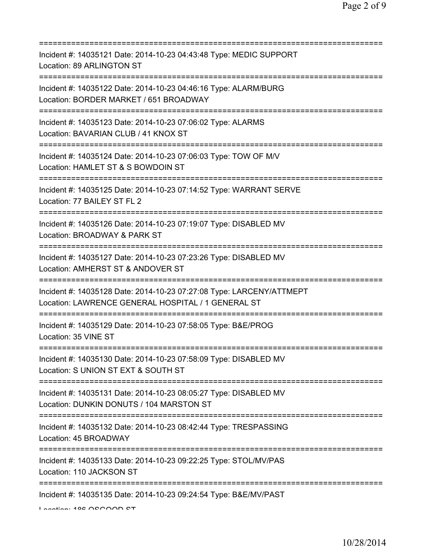| Incident #: 14035121 Date: 2014-10-23 04:43:48 Type: MEDIC SUPPORT<br>Location: 89 ARLINGTON ST                                      |
|--------------------------------------------------------------------------------------------------------------------------------------|
| Incident #: 14035122 Date: 2014-10-23 04:46:16 Type: ALARM/BURG<br>Location: BORDER MARKET / 651 BROADWAY                            |
| Incident #: 14035123 Date: 2014-10-23 07:06:02 Type: ALARMS<br>Location: BAVARIAN CLUB / 41 KNOX ST                                  |
| Incident #: 14035124 Date: 2014-10-23 07:06:03 Type: TOW OF M/V<br>Location: HAMLET ST & S BOWDOIN ST<br>========================    |
| Incident #: 14035125 Date: 2014-10-23 07:14:52 Type: WARRANT SERVE<br>Location: 77 BAILEY ST FL 2<br>----------------------------    |
| Incident #: 14035126 Date: 2014-10-23 07:19:07 Type: DISABLED MV<br>Location: BROADWAY & PARK ST<br>================================ |
| Incident #: 14035127 Date: 2014-10-23 07:23:26 Type: DISABLED MV<br>Location: AMHERST ST & ANDOVER ST                                |
| Incident #: 14035128 Date: 2014-10-23 07:27:08 Type: LARCENY/ATTMEPT<br>Location: LAWRENCE GENERAL HOSPITAL / 1 GENERAL ST           |
| Incident #: 14035129 Date: 2014-10-23 07:58:05 Type: B&E/PROG<br>Location: 35 VINE ST                                                |
| Incident #: 14035130 Date: 2014-10-23 07:58:09 Type: DISABLED MV<br>Location: S UNION ST EXT & SOUTH ST                              |
| Incident #: 14035131 Date: 2014-10-23 08:05:27 Type: DISABLED MV<br>Location: DUNKIN DONUTS / 104 MARSTON ST                         |
| Incident #: 14035132 Date: 2014-10-23 08:42:44 Type: TRESPASSING<br>Location: 45 BROADWAY                                            |
| Incident #: 14035133 Date: 2014-10-23 09:22:25 Type: STOL/MV/PAS<br>Location: 110 JACKSON ST                                         |
| Incident #: 14035135 Date: 2014-10-23 09:24:54 Type: B&E/MV/PAST<br>Lootion: 400 OCCOOD CT                                           |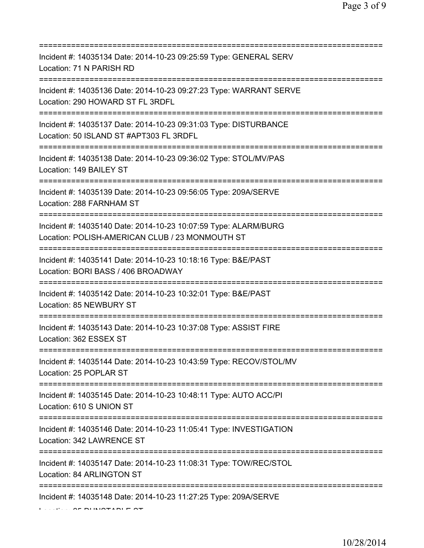| Incident #: 14035134 Date: 2014-10-23 09:25:59 Type: GENERAL SERV<br>Location: 71 N PARISH RD                                                       |
|-----------------------------------------------------------------------------------------------------------------------------------------------------|
| Incident #: 14035136 Date: 2014-10-23 09:27:23 Type: WARRANT SERVE<br>Location: 290 HOWARD ST FL 3RDFL                                              |
| Incident #: 14035137 Date: 2014-10-23 09:31:03 Type: DISTURBANCE<br>Location: 50 ISLAND ST #APT303 FL 3RDFL                                         |
| Incident #: 14035138 Date: 2014-10-23 09:36:02 Type: STOL/MV/PAS<br>Location: 149 BAILEY ST<br>=====================================                |
| Incident #: 14035139 Date: 2014-10-23 09:56:05 Type: 209A/SERVE<br>Location: 288 FARNHAM ST<br>=====================================                |
| Incident #: 14035140 Date: 2014-10-23 10:07:59 Type: ALARM/BURG<br>Location: POLISH-AMERICAN CLUB / 23 MONMOUTH ST<br>============================= |
| Incident #: 14035141 Date: 2014-10-23 10:18:16 Type: B&E/PAST<br>Location: BORI BASS / 406 BROADWAY                                                 |
| Incident #: 14035142 Date: 2014-10-23 10:32:01 Type: B&E/PAST<br>Location: 85 NEWBURY ST                                                            |
| Incident #: 14035143 Date: 2014-10-23 10:37:08 Type: ASSIST FIRE<br>Location: 362 ESSEX ST                                                          |
| Incident #: 14035144 Date: 2014-10-23 10:43:59 Type: RECOV/STOL/MV<br>Location: 25 POPLAR ST                                                        |
| Incident #: 14035145 Date: 2014-10-23 10:48:11 Type: AUTO ACC/PI<br>Location: 610 S UNION ST                                                        |
| Incident #: 14035146 Date: 2014-10-23 11:05:41 Type: INVESTIGATION<br>Location: 342 LAWRENCE ST                                                     |
| Incident #: 14035147 Date: 2014-10-23 11:08:31 Type: TOW/REC/STOL<br>Location: 84 ARLINGTON ST                                                      |
| :===============================<br>Incident #: 14035148 Date: 2014-10-23 11:27:25 Type: 209A/SERVE                                                 |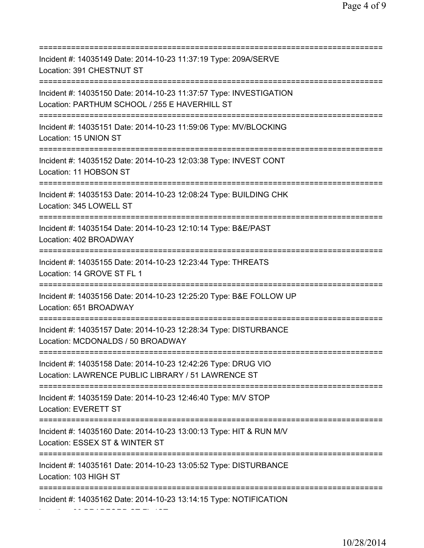| Incident #: 14035149 Date: 2014-10-23 11:37:19 Type: 209A/SERVE<br>Location: 391 CHESTNUT ST                                                              |
|-----------------------------------------------------------------------------------------------------------------------------------------------------------|
| Incident #: 14035150 Date: 2014-10-23 11:37:57 Type: INVESTIGATION<br>Location: PARTHUM SCHOOL / 255 E HAVERHILL ST<br>================================== |
| Incident #: 14035151 Date: 2014-10-23 11:59:06 Type: MV/BLOCKING<br>Location: 15 UNION ST                                                                 |
| Incident #: 14035152 Date: 2014-10-23 12:03:38 Type: INVEST CONT<br>Location: 11 HOBSON ST                                                                |
| Incident #: 14035153 Date: 2014-10-23 12:08:24 Type: BUILDING CHK<br>Location: 345 LOWELL ST                                                              |
| Incident #: 14035154 Date: 2014-10-23 12:10:14 Type: B&E/PAST<br>Location: 402 BROADWAY<br>==============================                                 |
| Incident #: 14035155 Date: 2014-10-23 12:23:44 Type: THREATS<br>Location: 14 GROVE ST FL 1<br>==========                                                  |
| Incident #: 14035156 Date: 2014-10-23 12:25:20 Type: B&E FOLLOW UP<br>Location: 651 BROADWAY<br>==============================                            |
| Incident #: 14035157 Date: 2014-10-23 12:28:34 Type: DISTURBANCE<br>Location: MCDONALDS / 50 BROADWAY                                                     |
| Incident #: 14035158 Date: 2014-10-23 12:42:26 Type: DRUG VIO<br>Location: LAWRENCE PUBLIC LIBRARY / 51 LAWRENCE ST                                       |
| Incident #: 14035159 Date: 2014-10-23 12:46:40 Type: M/V STOP<br>Location: EVERETT ST                                                                     |
| Incident #: 14035160 Date: 2014-10-23 13:00:13 Type: HIT & RUN M/V<br>Location: ESSEX ST & WINTER ST                                                      |
| Incident #: 14035161 Date: 2014-10-23 13:05:52 Type: DISTURBANCE<br>Location: 103 HIGH ST                                                                 |
| Incident #: 14035162 Date: 2014-10-23 13:14:15 Type: NOTIFICATION                                                                                         |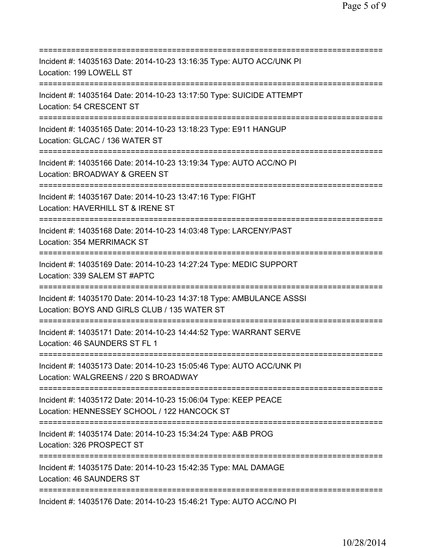| Incident #: 14035163 Date: 2014-10-23 13:16:35 Type: AUTO ACC/UNK PI<br>Location: 199 LOWELL ST<br>===================                  |
|-----------------------------------------------------------------------------------------------------------------------------------------|
| Incident #: 14035164 Date: 2014-10-23 13:17:50 Type: SUICIDE ATTEMPT<br>Location: 54 CRESCENT ST                                        |
| Incident #: 14035165 Date: 2014-10-23 13:18:23 Type: E911 HANGUP<br>Location: GLCAC / 136 WATER ST<br>=======================           |
| Incident #: 14035166 Date: 2014-10-23 13:19:34 Type: AUTO ACC/NO PI<br>Location: BROADWAY & GREEN ST<br>======================          |
| Incident #: 14035167 Date: 2014-10-23 13:47:16 Type: FIGHT<br>Location: HAVERHILL ST & IRENE ST                                         |
| Incident #: 14035168 Date: 2014-10-23 14:03:48 Type: LARCENY/PAST<br>Location: 354 MERRIMACK ST<br>==================================== |
| Incident #: 14035169 Date: 2014-10-23 14:27:24 Type: MEDIC SUPPORT<br>Location: 339 SALEM ST #APTC<br>-------------------               |
| Incident #: 14035170 Date: 2014-10-23 14:37:18 Type: AMBULANCE ASSSI<br>Location: BOYS AND GIRLS CLUB / 135 WATER ST                    |
| Incident #: 14035171 Date: 2014-10-23 14:44:52 Type: WARRANT SERVE<br>Location: 46 SAUNDERS ST FL 1                                     |
| Incident #: 14035173 Date: 2014-10-23 15:05:46 Type: AUTO ACC/UNK PI<br>Location: WALGREENS / 220 S BROADWAY                            |
| Incident #: 14035172 Date: 2014-10-23 15:06:04 Type: KEEP PEACE<br>Location: HENNESSEY SCHOOL / 122 HANCOCK ST                          |
| Incident #: 14035174 Date: 2014-10-23 15:34:24 Type: A&B PROG<br>Location: 326 PROSPECT ST                                              |
| Incident #: 14035175 Date: 2014-10-23 15:42:35 Type: MAL DAMAGE<br>Location: 46 SAUNDERS ST                                             |
| Incident #: 14035176 Date: 2014-10-23 15:46:21 Type: AUTO ACC/NO PI                                                                     |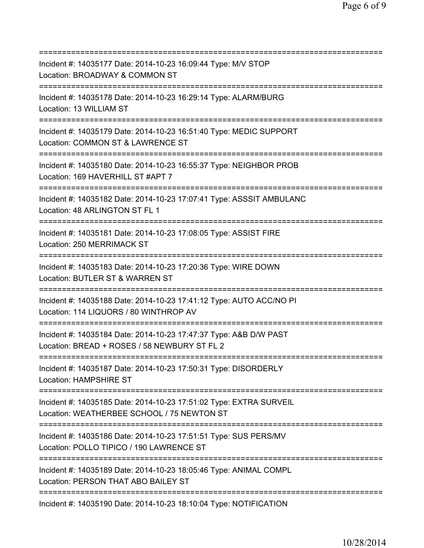=========================================================================== Incident #: 14035177 Date: 2014-10-23 16:09:44 Type: M/V STOP Location: BROADWAY & COMMON ST =========================================================================== Incident #: 14035178 Date: 2014-10-23 16:29:14 Type: ALARM/BURG Location: 13 WILLIAM ST =========================================================================== Incident #: 14035179 Date: 2014-10-23 16:51:40 Type: MEDIC SUPPORT Location: COMMON ST & LAWRENCE ST =========================================================================== Incident #: 14035180 Date: 2014-10-23 16:55:37 Type: NEIGHBOR PROB Location: 169 HAVERHILL ST #APT 7 =========================================================================== Incident #: 14035182 Date: 2014-10-23 17:07:41 Type: ASSSIT AMBULANC Location: 48 ARLINGTON ST FL 1 =========================================================================== Incident #: 14035181 Date: 2014-10-23 17:08:05 Type: ASSIST FIRE Location: 250 MERRIMACK ST =========================================================================== Incident #: 14035183 Date: 2014-10-23 17:20:36 Type: WIRE DOWN Location: BUTLER ST & WARREN ST =========================================================================== Incident #: 14035188 Date: 2014-10-23 17:41:12 Type: AUTO ACC/NO PI Location: 114 LIQUORS / 80 WINTHROP AV =========================================================================== Incident #: 14035184 Date: 2014-10-23 17:47:37 Type: A&B D/W PAST Location: BREAD + ROSES / 58 NEWBURY ST FL 2 =========================================================================== Incident #: 14035187 Date: 2014-10-23 17:50:31 Type: DISORDERLY Location: HAMPSHIRE ST =========================================================================== Incident #: 14035185 Date: 2014-10-23 17:51:02 Type: EXTRA SURVEIL Location: WEATHERBEE SCHOOL / 75 NEWTON ST =========================================================================== Incident #: 14035186 Date: 2014-10-23 17:51:51 Type: SUS PERS/MV Location: POLLO TIPICO / 190 LAWRENCE ST =========================================================================== Incident #: 14035189 Date: 2014-10-23 18:05:46 Type: ANIMAL COMPL Location: PERSON THAT ABO BAILEY ST =========================================================================== Incident #: 14035190 Date: 2014-10-23 18:10:04 Type: NOTIFICATION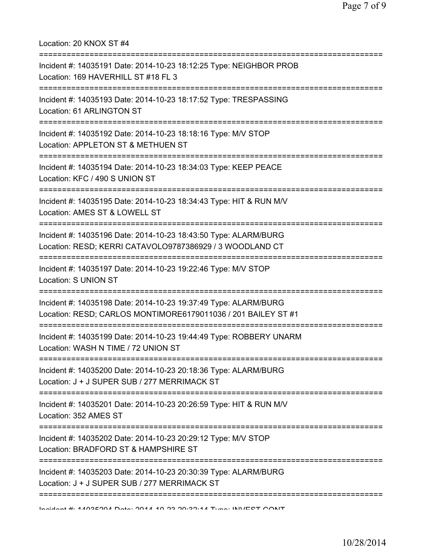Location: 20 KNOX ST #4 =========================================================================== Incident #: 14035191 Date: 2014-10-23 18:12:25 Type: NEIGHBOR PROB Location: 169 HAVERHILL ST #18 FL 3 =========================================================================== Incident #: 14035193 Date: 2014-10-23 18:17:52 Type: TRESPASSING Location: 61 ARLINGTON ST =========================================================================== Incident #: 14035192 Date: 2014-10-23 18:18:16 Type: M/V STOP Location: APPLETON ST & METHUEN ST =========================================================================== Incident #: 14035194 Date: 2014-10-23 18:34:03 Type: KEEP PEACE Location: KFC / 490 S UNION ST =========================================================================== Incident #: 14035195 Date: 2014-10-23 18:34:43 Type: HIT & RUN M/V Location: AMES ST & LOWELL ST =========================================================================== Incident #: 14035196 Date: 2014-10-23 18:43:50 Type: ALARM/BURG Location: RESD; KERRI CATAVOLO9787386929 / 3 WOODLAND CT =========================================================================== Incident #: 14035197 Date: 2014-10-23 19:22:46 Type: M/V STOP Location: S UNION ST =========================================================================== Incident #: 14035198 Date: 2014-10-23 19:37:49 Type: ALARM/BURG Location: RESD; CARLOS MONTIMORE6179011036 / 201 BAILEY ST #1 =========================================================================== Incident #: 14035199 Date: 2014-10-23 19:44:49 Type: ROBBERY UNARM Location: WASH N TIME / 72 UNION ST =========================================================================== Incident #: 14035200 Date: 2014-10-23 20:18:36 Type: ALARM/BURG Location: J + J SUPER SUB / 277 MERRIMACK ST =========================================================================== Incident #: 14035201 Date: 2014-10-23 20:26:59 Type: HIT & RUN M/V Location: 352 AMES ST =========================================================================== Incident #: 14035202 Date: 2014-10-23 20:29:12 Type: M/V STOP Location: BRADFORD ST & HAMPSHIRE ST =========================================================================== Incident #: 14035203 Date: 2014-10-23 20:30:39 Type: ALARM/BURG Location: J + J SUPER SUB / 277 MERRIMACK ST ===========================================================================

Incident #: 14035204 Date: 2014 10 23 20:32:14 Type: INVEST CONT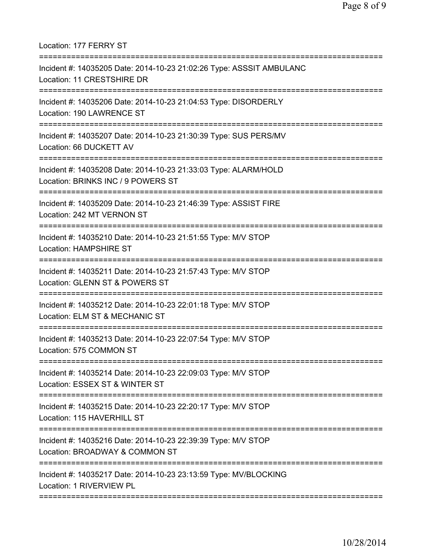Location: 177 FERRY ST

| Incident #: 14035205 Date: 2014-10-23 21:02:26 Type: ASSSIT AMBULANC<br>Location: 11 CRESTSHIRE DR                               |
|----------------------------------------------------------------------------------------------------------------------------------|
| Incident #: 14035206 Date: 2014-10-23 21:04:53 Type: DISORDERLY<br>Location: 190 LAWRENCE ST                                     |
| Incident #: 14035207 Date: 2014-10-23 21:30:39 Type: SUS PERS/MV<br>Location: 66 DUCKETT AV<br>===============================   |
| Incident #: 14035208 Date: 2014-10-23 21:33:03 Type: ALARM/HOLD<br>Location: BRINKS INC / 9 POWERS ST<br>:====================== |
| Incident #: 14035209 Date: 2014-10-23 21:46:39 Type: ASSIST FIRE<br>Location: 242 MT VERNON ST                                   |
| Incident #: 14035210 Date: 2014-10-23 21:51:55 Type: M/V STOP<br><b>Location: HAMPSHIRE ST</b>                                   |
| :================<br>Incident #: 14035211 Date: 2014-10-23 21:57:43 Type: M/V STOP<br>Location: GLENN ST & POWERS ST             |
| Incident #: 14035212 Date: 2014-10-23 22:01:18 Type: M/V STOP<br>Location: ELM ST & MECHANIC ST                                  |
| Incident #: 14035213 Date: 2014-10-23 22:07:54 Type: M/V STOP<br>Location: 575 COMMON ST                                         |
| Incident #: 14035214 Date: 2014-10-23 22:09:03 Type: M/V STOP<br>Location: ESSEX ST & WINTER ST                                  |
| Incident #: 14035215 Date: 2014-10-23 22:20:17 Type: M/V STOP<br>Location: 115 HAVERHILL ST                                      |
| Incident #: 14035216 Date: 2014-10-23 22:39:39 Type: M/V STOP<br>Location: BROADWAY & COMMON ST                                  |
| Incident #: 14035217 Date: 2014-10-23 23:13:59 Type: MV/BLOCKING<br>Location: 1 RIVERVIEW PL                                     |
|                                                                                                                                  |